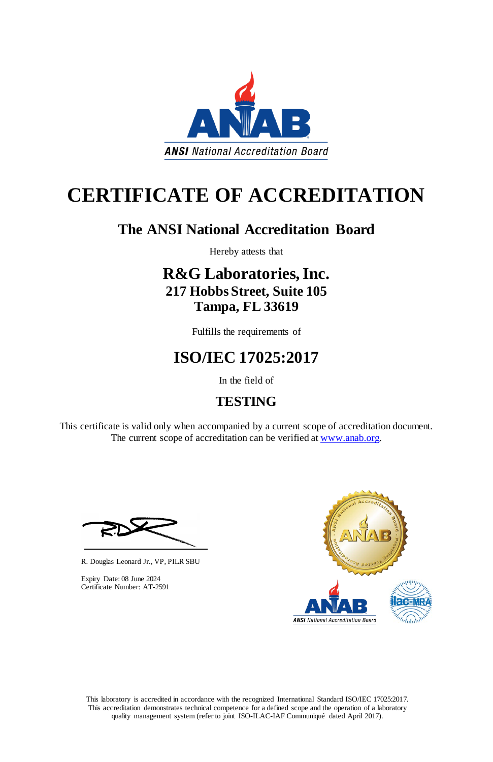This laboratory is accredited in accordance with the recognized International Standard ISO/IEC 17025:2017. This accreditation demonstrates technical competence for a defined scope and the operation of a laboratory quality management system (refer to joint ISO-ILAC-IAF Communiqué dated April 2017).

This certificate is valid only when accompanied by a current scope of accreditation document. The current scope of accreditation can be verified at [www.anab.org.](http://www.anab.org/)







# **CERTIFICATE OF ACCREDITATION**

### **The ANSI National Accreditation Board**

Hereby attests that

### **R&G Laboratories, Inc. 217 Hobbs Street, Suite 105 Tampa, FL 33619**

Fulfills the requirements of

# **ISO/IEC 17025:2017**

In the field of

## **TESTING**

R. Douglas Leonard Jr., VP, PILR SBU

Expiry Date: 08 June 2024 Certificate Number: AT-2591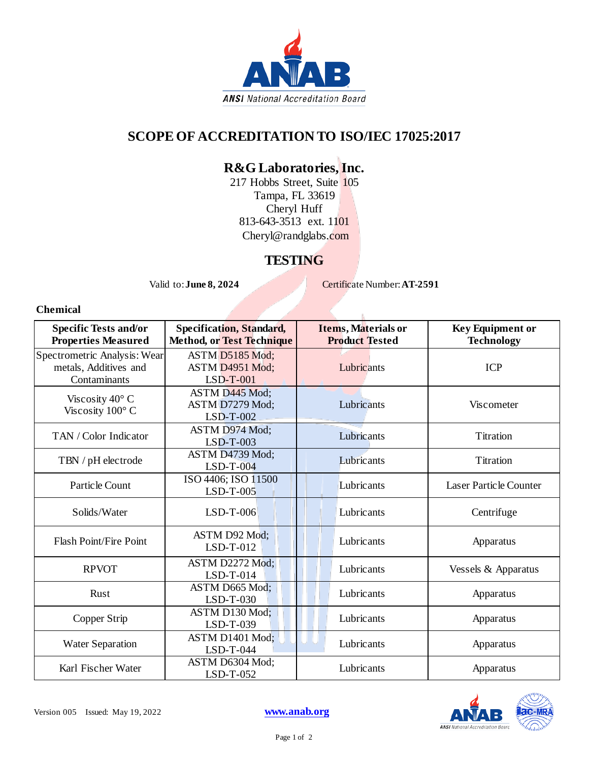

### **SCOPE OF ACCREDITATION TO ISO/IEC 17025:2017**

### **R&G Laboratories, Inc.**

217 Hobbs Street, Suite 105 Tampa, FL 33619 Cheryl Huff 813-643-3513 ext. 1101 Cheryl@randglabs.com

#### **TESTING**

Valid to: **June 8, 2024** Certificate Number: **AT-2591** 

#### **Chemical**

| <b>Specific Tests and/or</b><br><b>Properties Measured</b>            | <b>Specification, Standard,</b><br><b>Method, or Test Technique</b> | Items, Materials or<br><b>Product Tested</b> | <b>Key Equipment or</b><br><b>Technology</b> |
|-----------------------------------------------------------------------|---------------------------------------------------------------------|----------------------------------------------|----------------------------------------------|
| Spectrometric Analysis: Wear<br>metals, Additives and<br>Contaminants | ASTM D5185 Mod;<br>ASTM D4951 Mod;<br>$LSD-T-001$                   | Lubricants                                   | <b>ICP</b>                                   |
| Viscosity $40^{\circ}$ C<br>Viscosity $100^{\circ}$ C                 | ASTM D445 Mod;<br>ASTM D7279 Mod;<br>$LSD-T-002$                    | Lubricants                                   | Viscometer                                   |
| TAN / Color Indicator                                                 | ASTM D974 Mod:<br>$LSD-T-003$                                       | Lubricants                                   | Titration                                    |
| TBN / pH electrode                                                    | ASTM D4739 Mod;<br>$LSD-T-004$                                      | Lubricants                                   | <b>Titration</b>                             |
| Particle Count                                                        | ISO 4406; ISO 11500<br>$LSD-T-005$                                  | Lubricants                                   | Laser Particle Counter                       |
| Solids/Water                                                          | $LSD-T-006$                                                         | Lubricants                                   | Centrifuge                                   |
| Flash Point/Fire Point                                                | ASTM D92 Mod;<br>$LSD-T-012$                                        | Lubricants                                   | Apparatus                                    |
| <b>RPVOT</b>                                                          | ASTM D2272 Mod:<br>$LSD-T-014$                                      | Lubricants                                   | Vessels & Apparatus                          |
| Rust                                                                  | ASTM D665 Mod;<br>$LSD-T-030$                                       | Lubricants                                   | Apparatus                                    |
| Copper Strip                                                          | ASTM D130 Mod;<br>LSD-T-039                                         | Lubricants                                   | Apparatus                                    |
| <b>Water Separation</b>                                               | ASTM D1401 Mod;<br>$LSD-T-044$                                      | Lubricants                                   | Apparatus                                    |
| Karl Fischer Water                                                    | ASTM D6304 Mod;<br>LSD-T-052                                        | Lubricants                                   | Apparatus                                    |